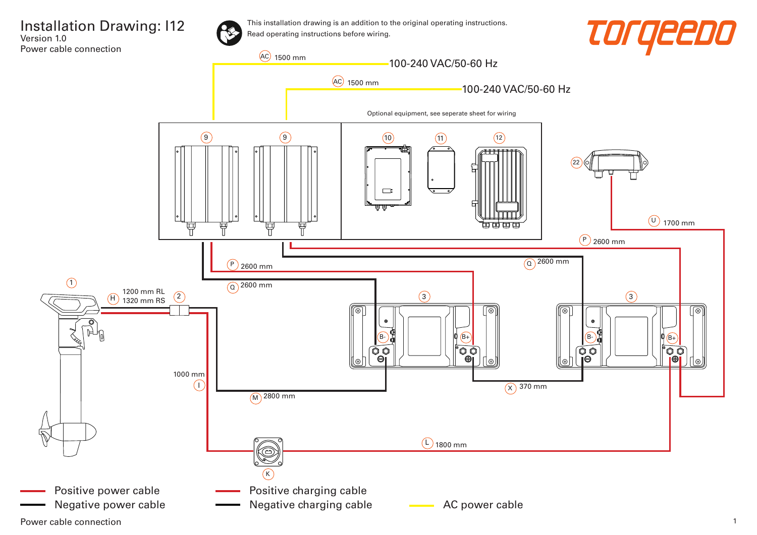

Power cable connection 2008 and 2008 and 2008 and 2008 and 2008 and 2008 and 2008 and 2008 and 2008 and 2008 and 2008 and 2008 and 2008 and 2008 and 2008 and 2008 and 2008 and 2008 and 2008 and 2008 and 2008 and 2008 and 2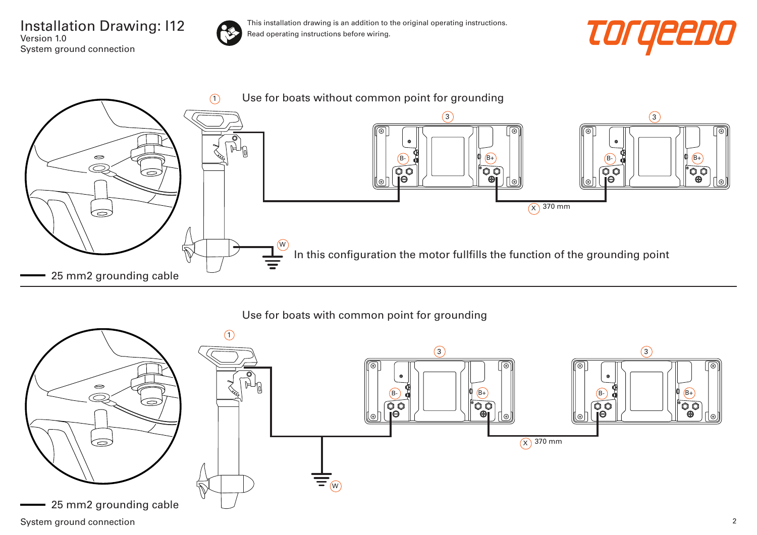Installation Drawing: I12 Version 1.0 System ground connection







Use for boats with common point for grounding

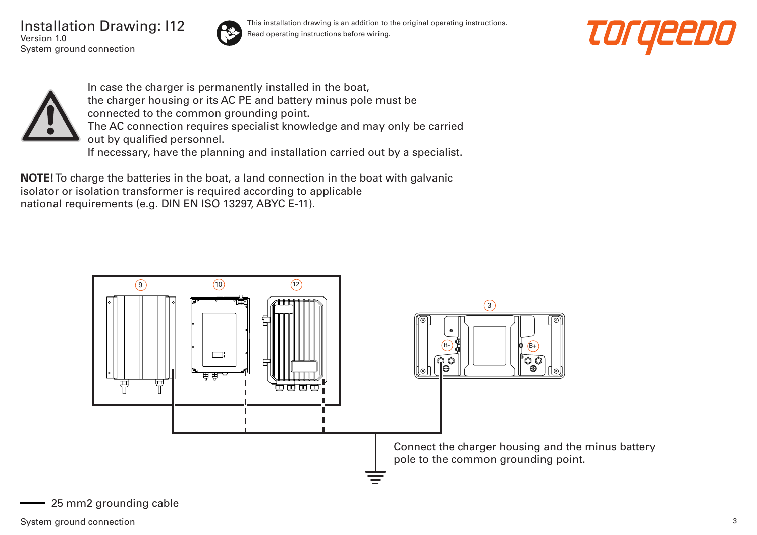Installation Drawing: I12 Version 1.0 System ground connection



This installation drawing is an addition to the original operating instructions. Read operating instructions before wiring.





In case the charger is permanently installed in the boat, the charger housing or its AC PE and battery minus pole must be connected to the common grounding point. The AC connection requires specialist knowledge and may only be carried out by qualified personnel. If necessary, have the planning and installation carried out by a specialist.

**NOTE!** To charge the batteries in the boat, a land connection in the boat with galvanic isolator or isolation transformer is required according to applicable national requirements (e.g. DIN EN ISO 13297, ABYC E-11).

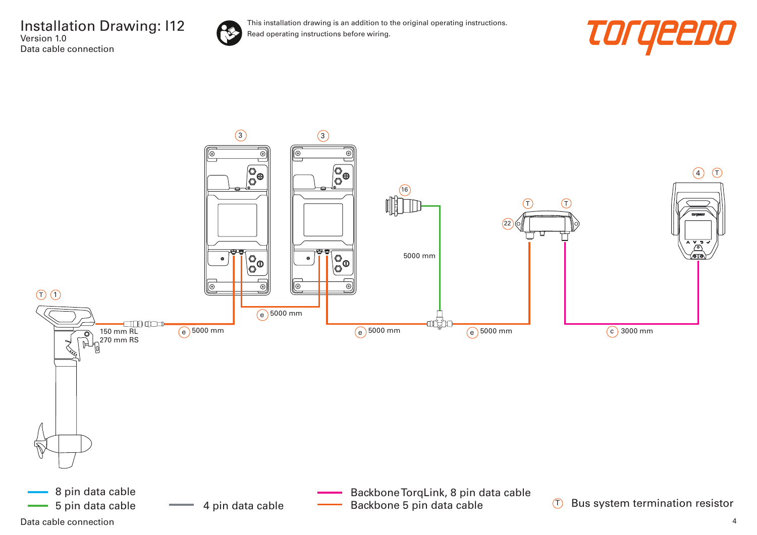Installation Drawing: I12 Version 1.0 Data cable connection





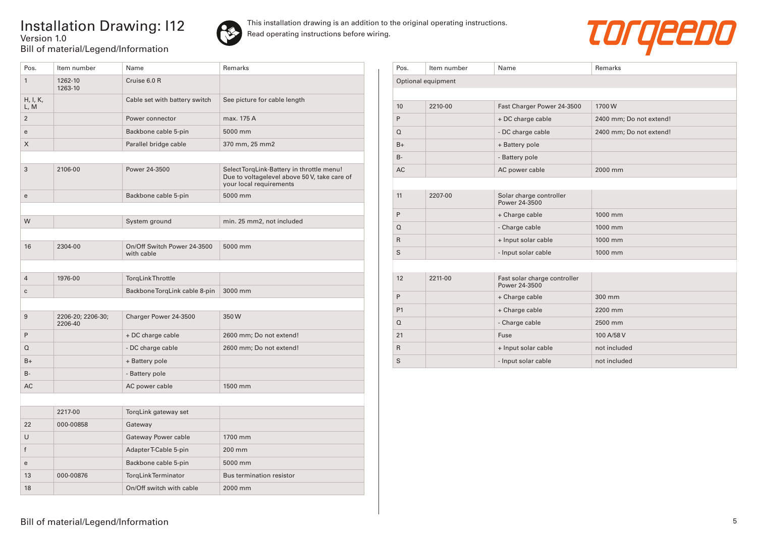## Installation Drawing: I12 Version 1.0 Bill of material/Legend/Information





| Pos.             | Item number                  | Name                                      | Remarks                                                                                                              |
|------------------|------------------------------|-------------------------------------------|----------------------------------------------------------------------------------------------------------------------|
| $\mathbf{1}$     | 1262-10<br>1263-10           | Cruise 6.0 R                              |                                                                                                                      |
| H, I, K,<br>L, M |                              | Cable set with battery switch             | See picture for cable length                                                                                         |
| $\overline{2}$   |                              | Power connector                           | max. 175 A                                                                                                           |
| e                |                              | Backbone cable 5-pin                      | 5000 mm                                                                                                              |
| X                |                              | Parallel bridge cable                     | 370 mm, 25 mm2                                                                                                       |
|                  |                              |                                           |                                                                                                                      |
| 3                | 2106-00                      | Power 24-3500                             | Select TorgLink-Battery in throttle menu!<br>Due to voltagelevel above 50 V, take care of<br>your local requirements |
| e                |                              | Backbone cable 5-pin                      | 5000 mm                                                                                                              |
|                  |                              |                                           |                                                                                                                      |
| W                |                              | System ground                             | min. 25 mm2, not included                                                                                            |
|                  |                              |                                           |                                                                                                                      |
| 16               | 2304-00                      | On/Off Switch Power 24-3500<br>with cable | 5000 mm                                                                                                              |
|                  |                              |                                           |                                                                                                                      |
| $\overline{4}$   | 1976-00                      | <b>TorgLink Throttle</b>                  |                                                                                                                      |
| $\mathbf{C}$     |                              | Backbone TorqLink cable 8-pin             | 3000 mm                                                                                                              |
|                  |                              |                                           |                                                                                                                      |
| 9                | 2206-20; 2206-30;<br>2206-40 | Charger Power 24-3500                     | 350W                                                                                                                 |
| P                |                              | + DC charge cable                         | 2600 mm; Do not extend!                                                                                              |
| Q                |                              | - DC charge cable                         | 2600 mm; Do not extend!                                                                                              |
| $B+$             |                              | + Battery pole                            |                                                                                                                      |
| $B -$            |                              | - Battery pole                            |                                                                                                                      |
| <b>AC</b>        |                              | AC power cable                            | 1500 mm                                                                                                              |
|                  |                              |                                           |                                                                                                                      |
|                  | 2217-00                      | TorqLink gateway set                      |                                                                                                                      |
| 22               | 000-00858                    | Gateway                                   |                                                                                                                      |
| $\cup$           |                              | Gateway Power cable                       | 1700 mm                                                                                                              |
| f                |                              | Adapter T-Cable 5-pin                     | 200 mm                                                                                                               |
| e                |                              | Backbone cable 5-pin                      | 5000 mm                                                                                                              |
| 13               | 000-00876                    | TorgLinkTerminator                        | <b>Bus termination resistor</b>                                                                                      |
| 18               |                              | On/Off switch with cable                  | 2000 mm                                                                                                              |

| Pos.               | Item number | Name                                          | Remarks                 |  |  |
|--------------------|-------------|-----------------------------------------------|-------------------------|--|--|
| Optional equipment |             |                                               |                         |  |  |
|                    |             |                                               |                         |  |  |
| 10                 | 2210-00     | Fast Charger Power 24-3500                    | 1700W                   |  |  |
| P                  |             | + DC charge cable                             | 2400 mm; Do not extend! |  |  |
| $\Omega$           |             | - DC charge cable                             | 2400 mm; Do not extend! |  |  |
| $B+$               |             | + Battery pole                                |                         |  |  |
| $B -$              |             | - Battery pole                                |                         |  |  |
| <b>AC</b>          |             | AC power cable                                | 2000 mm                 |  |  |
|                    |             |                                               |                         |  |  |
| 11                 | 2207-00     | Solar charge controller<br>Power 24-3500      |                         |  |  |
| P                  |             | + Charge cable                                | 1000 mm                 |  |  |
| $\Omega$           |             | - Charge cable                                | 1000 mm                 |  |  |
| $\mathsf{R}$       |             | + Input solar cable                           | 1000 mm                 |  |  |
| S                  |             | - Input solar cable                           | 1000 mm                 |  |  |
|                    |             |                                               |                         |  |  |
| 12                 | 2211-00     | Fast solar charge controller<br>Power 24-3500 |                         |  |  |
| P                  |             | + Charge cable                                | 300 mm                  |  |  |
| P <sub>1</sub>     |             | + Charge cable                                | 2200 mm                 |  |  |
| $\Omega$           |             | - Charge cable                                | 2500 mm                 |  |  |
| 21                 |             | Fuse                                          | 100 A/58 V              |  |  |
| $\mathsf{R}$       |             | + Input solar cable                           | not included            |  |  |
| S                  |             | - Input solar cable                           | not included            |  |  |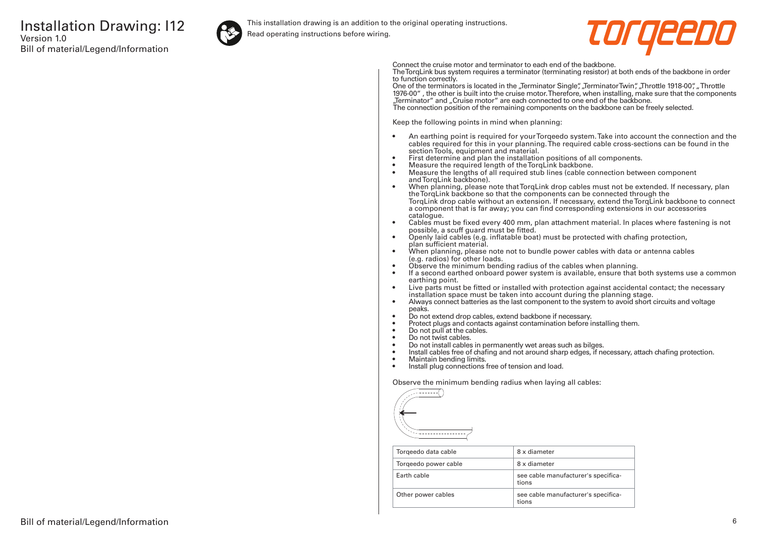

This installation drawing is an addition to the original operating instructions.

Read operating instructions before wiring.



Connect the cruise motor and terminator to each end of the backbone.

The TorqLink bus system requires a terminator (terminating resistor) at both ends of the backbone in order to function correctly.

One of the terminators is located in the "Terminator Single", "Terminator Twin", "Throttle 1918-00", "Throttle 1976-00" , the other is built into the cruise motor. Therefore, when installing, make sure that the components "Terminator" and "Cruise motor" are each connected to one end of the backbone. The connection position of the remaining components on the backbone can be freely selected.

Keep the following points in mind when planning:

- An earthing point is required for your Torqeedo system. Take into account the connection and the cables required for this in your planning. The required cable cross-sections can be found in the section Tools, equipment and material.
- First determine and plan the installation positions of all components.
- Measure the required length of the TorqLink backbone.<br>• Measure the lengths of all required stub lines (cable co
- Measure the lengths of all required stub lines (cable connection between component and TorgLink backbone).
- When planning, please note that TorqLink drop cables must not be extended. If necessary, plan the TorqLink backbone so that the components can be connected through the TorqLink drop cable without an extension. If necessary, extend the TorqLink backbone to connect a component that is far away; you can find corresponding extensions in our accessories catalogue.
- Cables must be fixed every 400 mm, plan attachment material. In places where fastening is not possible, a scuff guard must be fitted.
- Openly laid cables (e.g. inflatable boat) must be protected with chafing protection, plan sufficient material.
- When planning, please note not to bundle power cables with data or antenna cables (e.g. radios) for other loads.
- Observe the minimum bending radius of the cables when planning.
- If a second earthed onboard power system is available, ensure that both systems use a common earthing point.
- Live parts must be fitted or installed with protection against accidental contact; the necessary installation space must be taken into account during the planning stage.
- Always connect batteries as the last component to the system to avoid short circuits and voltage peaks.
- Do not extend drop cables, extend backbone if necessary.
- Protect plugs and contacts against contamination before installing them.
- Do not pull at the cables.
- Do not twist cables.
- Do not install cables in permanently wet areas such as bilges.
- Install cables free of chafing and not around sharp edges, if necessary, attach chafing protection.<br>• Maintain bending limits
- Maintain bending limits.
- Install plug connections free of tension and load.

Observe the minimum bending radius when laying all cables:



| Torgeedo data cable  | 8 x diameter                                 |
|----------------------|----------------------------------------------|
| Torgeedo power cable | 8 x diameter                                 |
| Farth cable          | see cable manufacturer's specifica-<br>tions |
| Other power cables   | see cable manufacturer's specifica-<br>tions |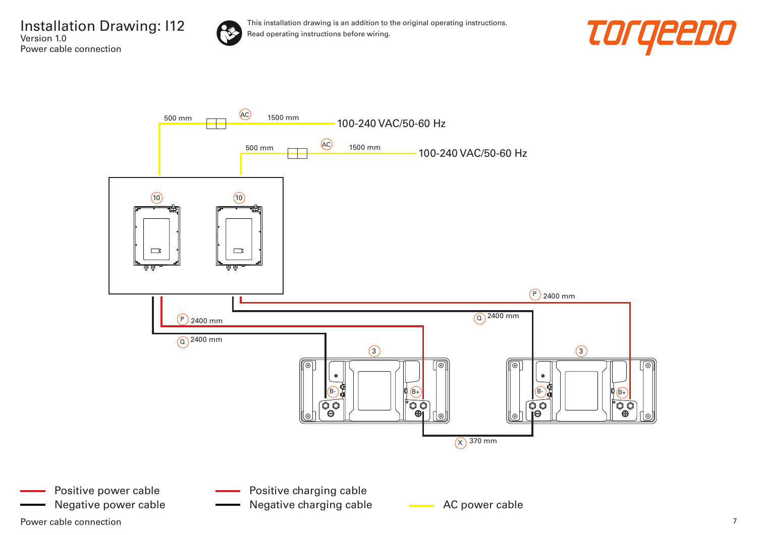Installation Drawing: I12 Version 1.0 Power cable connection





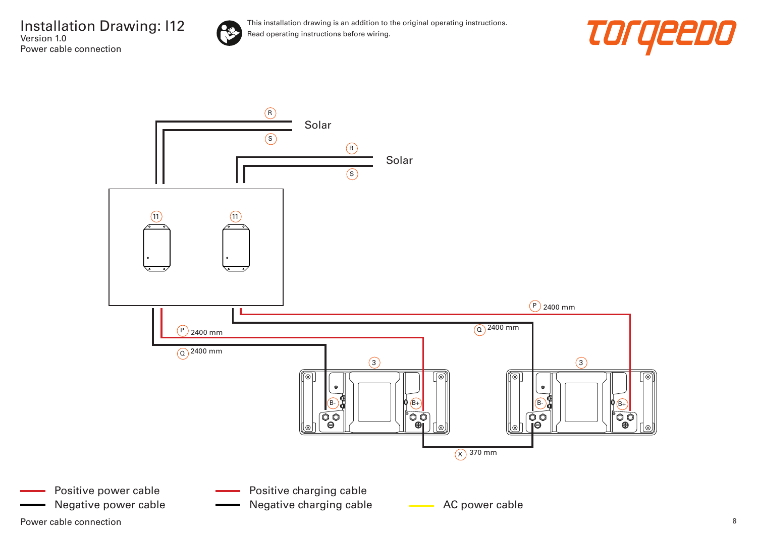Installation Drawing: I12 Version 1.0 Power cable connection